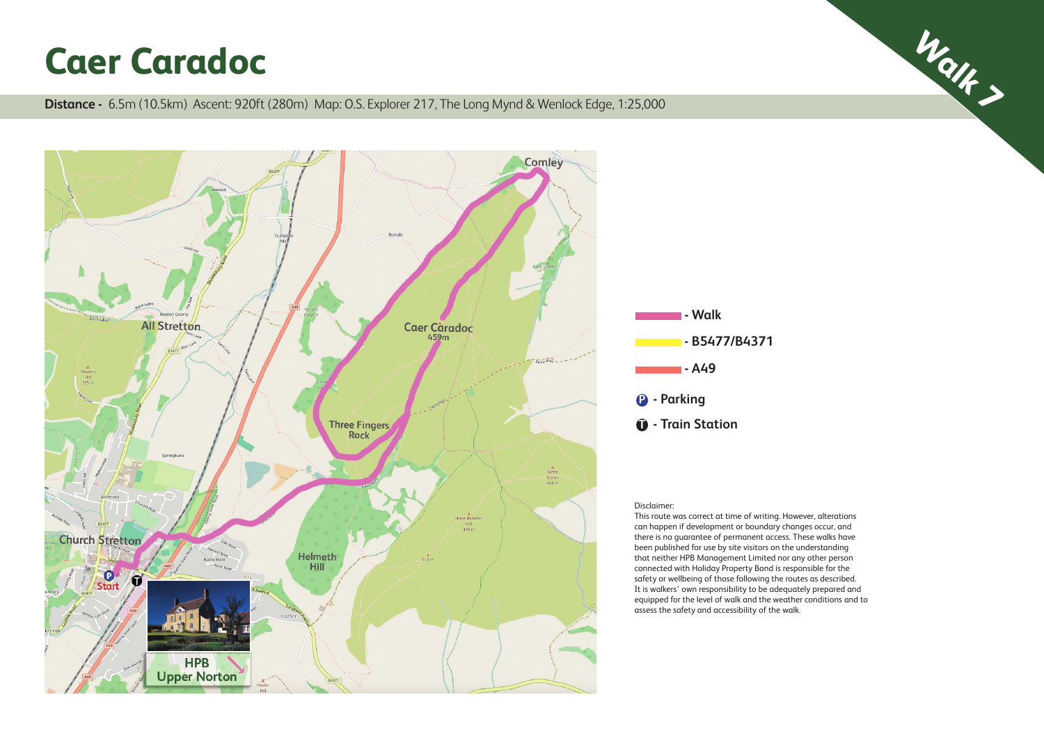**Caer Caradoc**<br>Distance - 6.5m (10.5km) Ascent: 920ft (280m) Map: O.S. Explorer 217, The Long Mynd & Wenlock Edge, 1:25,000





## Disclaimer:

This route was correct at time of writing. However, alterations can happen if development or boundary changes occur, and there is no guarantee of permanent access. These walks have been published for use by site visitors on the understanding that neither HPB Management Limited nor any other person connected with Holiday Property Bond is responsible for the safety or wellbeing of those following the routes as described. It is walkers' own responsibility to be adequately prepared and equipped for the level of walk and the weather conditions and to assess the safety and accessibility of the walk.